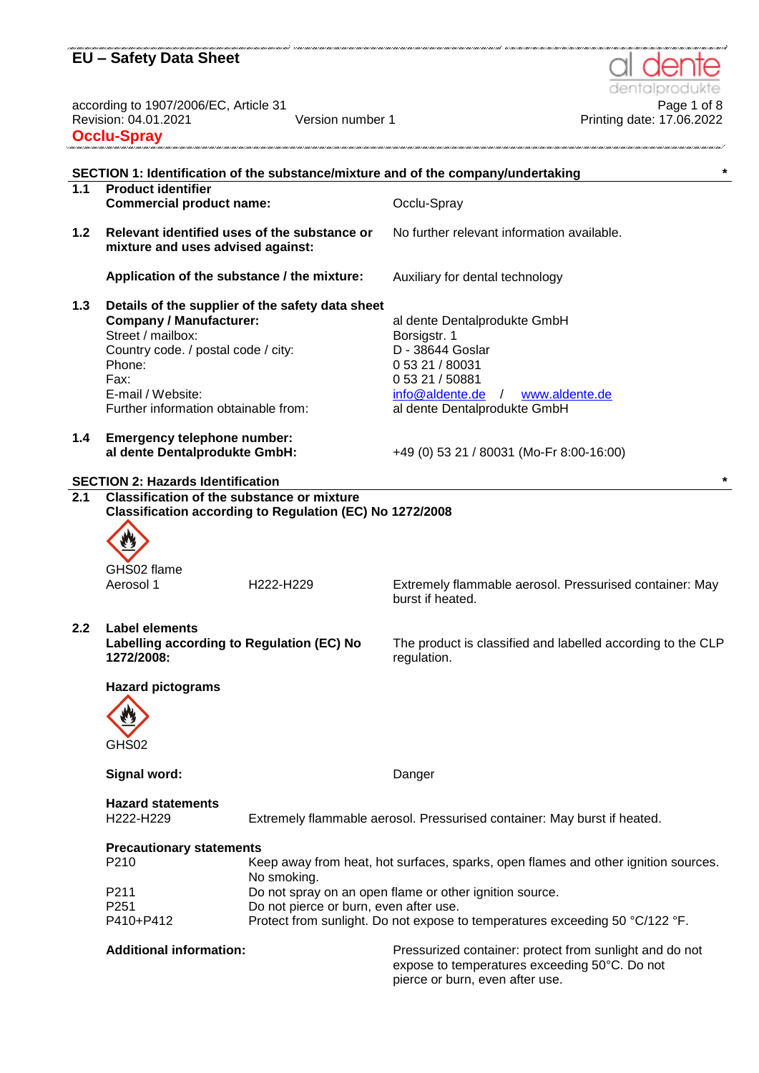according to 1907/2006/EC, Article 31<br>Revision: 04.01.2021 Page 1 of 8<br>Printing date: 17.06.2022 Version number 1 **Printing date: 17.06.2022 Occlu-Spray**

**SECTION 1: Identification of the substance/mixture and of the company/undertaking \* 1.1 Product identifier Commercial product name:** Occlu-Spray **1.2 Relevant identified uses of the substance or mixture and uses advised against:** No further relevant information available. **Application of the substance / the mixture:** Auxiliary for dental technology **1.3 Details of the supplier of the safety data sheet Company / Manufacturer:** al dente Dentalprodukte GmbH Street / mailbox: Borsigstr. 1 Country code. / postal code / city: D - 38644 Goslar Phone: 0 53 21 / 80031 Fax: E-mail / Website: 0 53 21 / 50881 [info@aldente.de](mailto:info@aldente.de) / [www.aldente.de](http://www.aldente.de/) Further information obtainable from: al dente Dentalprodukte GmbH **1.4 Emergency telephone number: al dente Dentalprodukte GmbH:** +49 (0) 53 21 / 80031 (Mo-Fr 8:00-16:00) **SECTION 2: Hazards Identification \* 2.1 Classification of the substance or mixture Classification according to Regulation (EC) No 1272/2008** GHS02 flame Aerosol 1 **H222-H229** Extremely flammable aerosol. Pressurised container: May burst if heated. **2.2 Label elements Labelling according to Regulation (EC) No 1272/2008:** The product is classified and labelled according to the CLP regulation. **Hazard pictograms** GHS02 **Signal word:** Danger **Hazard statements** H222-H229 Extremely flammable aerosol. Pressurised container: May burst if heated. **Precautionary statements** P210 Keep away from heat, hot surfaces, sparks, open flames and other ignition sources. No smoking. P211 Do not spray on an open flame or other ignition source. P251 Do not pierce or burn, even after use. P410+P412 Protect from sunlight. Do not expose to temperatures exceeding 50 °C/122 °F. Additional information: **Additional information:** Pressurized container: protect from sunlight and do not expose to temperatures exceeding 50°C. Do not pierce or burn, even after use.

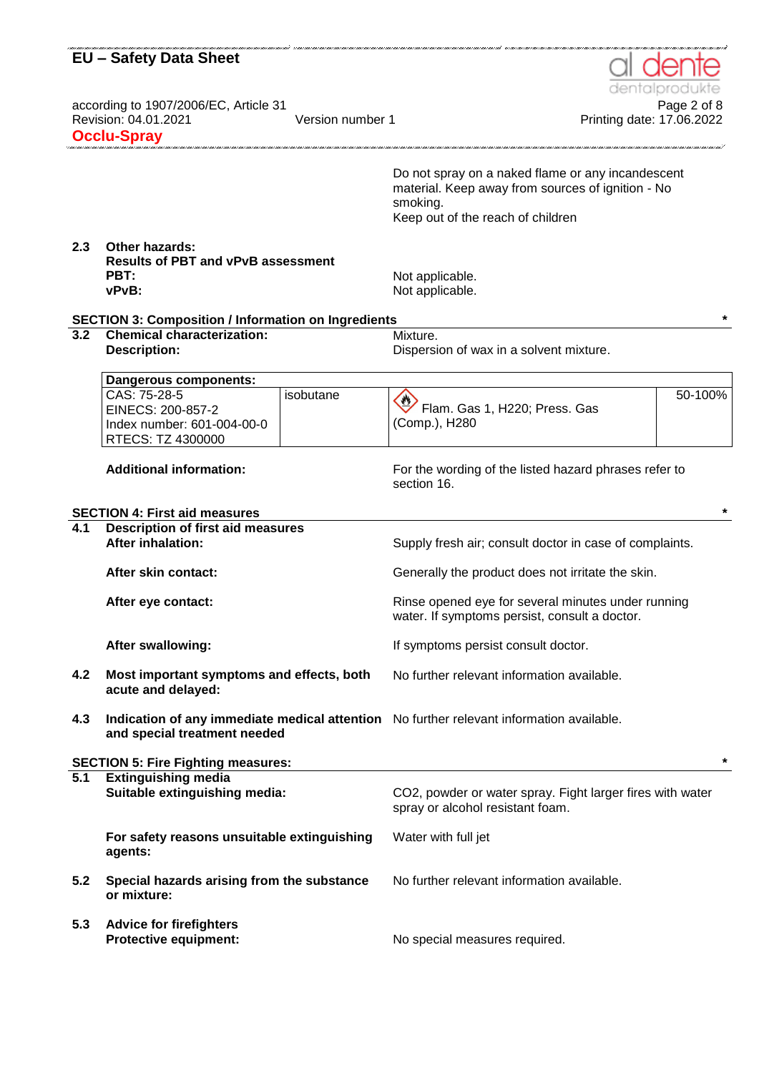|            | are anno mare anno mare mare anno ma<br><b>EU - Safety Data Sheet</b><br>according to 1907/2006/EC, Article 31<br>Revision: 04.01.2021<br><b>Occlu-Spray</b> | Version number 1 | Printing date: 17.06.2022                                                                                                                               | dentalprodukte<br>Page 2 of 8 |
|------------|--------------------------------------------------------------------------------------------------------------------------------------------------------------|------------------|---------------------------------------------------------------------------------------------------------------------------------------------------------|-------------------------------|
|            |                                                                                                                                                              |                  | Do not spray on a naked flame or any incandescent<br>material. Keep away from sources of ignition - No<br>smoking.<br>Keep out of the reach of children |                               |
| 2.3        | <b>Other hazards:</b><br><b>Results of PBT and vPvB assessment</b><br>PBT:<br>vPvB:                                                                          |                  | Not applicable.<br>Not applicable.                                                                                                                      |                               |
|            | <b>SECTION 3: Composition / Information on Ingredients</b>                                                                                                   |                  |                                                                                                                                                         |                               |
| 3.2        | <b>Chemical characterization:</b><br><b>Description:</b>                                                                                                     |                  | Mixture.<br>Dispersion of wax in a solvent mixture.                                                                                                     |                               |
|            | Dangerous components:                                                                                                                                        |                  |                                                                                                                                                         |                               |
|            | CAS: 75-28-5<br>EINECS: 200-857-2<br>Index number: 601-004-00-0<br>RTECS: TZ 4300000                                                                         | isobutane        | Flam. Gas 1, H220; Press. Gas<br>(Comp.), H280                                                                                                          | 50-100%                       |
|            | <b>Additional information:</b>                                                                                                                               |                  | For the wording of the listed hazard phrases refer to<br>section 16.                                                                                    |                               |
|            | <b>SECTION 4: First aid measures</b>                                                                                                                         |                  |                                                                                                                                                         |                               |
| 4.1        | <b>Description of first aid measures</b>                                                                                                                     |                  |                                                                                                                                                         |                               |
|            | <b>After inhalation:</b>                                                                                                                                     |                  | Supply fresh air; consult doctor in case of complaints.                                                                                                 |                               |
|            | After skin contact:                                                                                                                                          |                  | Generally the product does not irritate the skin.                                                                                                       |                               |
|            | After eye contact:                                                                                                                                           |                  | Rinse opened eye for several minutes under running<br>water. If symptoms persist, consult a doctor.                                                     |                               |
|            | After swallowing:                                                                                                                                            |                  |                                                                                                                                                         |                               |
|            |                                                                                                                                                              |                  | If symptoms persist consult doctor.                                                                                                                     |                               |
|            | Most important symptoms and effects, both<br>acute and delayed:                                                                                              |                  | No further relevant information available.                                                                                                              |                               |
| 4.2<br>4.3 | and special treatment needed                                                                                                                                 |                  | Indication of any immediate medical attention No further relevant information available.                                                                |                               |
|            |                                                                                                                                                              |                  |                                                                                                                                                         |                               |
|            | <b>SECTION 5: Fire Fighting measures:</b>                                                                                                                    |                  |                                                                                                                                                         |                               |
|            | <b>Extinguishing media</b><br>Suitable extinguishing media:                                                                                                  |                  | CO2, powder or water spray. Fight larger fires with water<br>spray or alcohol resistant foam.                                                           |                               |
|            | For safety reasons unsuitable extinguishing<br>agents:                                                                                                       |                  | Water with full jet                                                                                                                                     |                               |
| 5.1<br>5.2 | Special hazards arising from the substance<br>or mixture:                                                                                                    |                  | No further relevant information available.                                                                                                              | $\star$                       |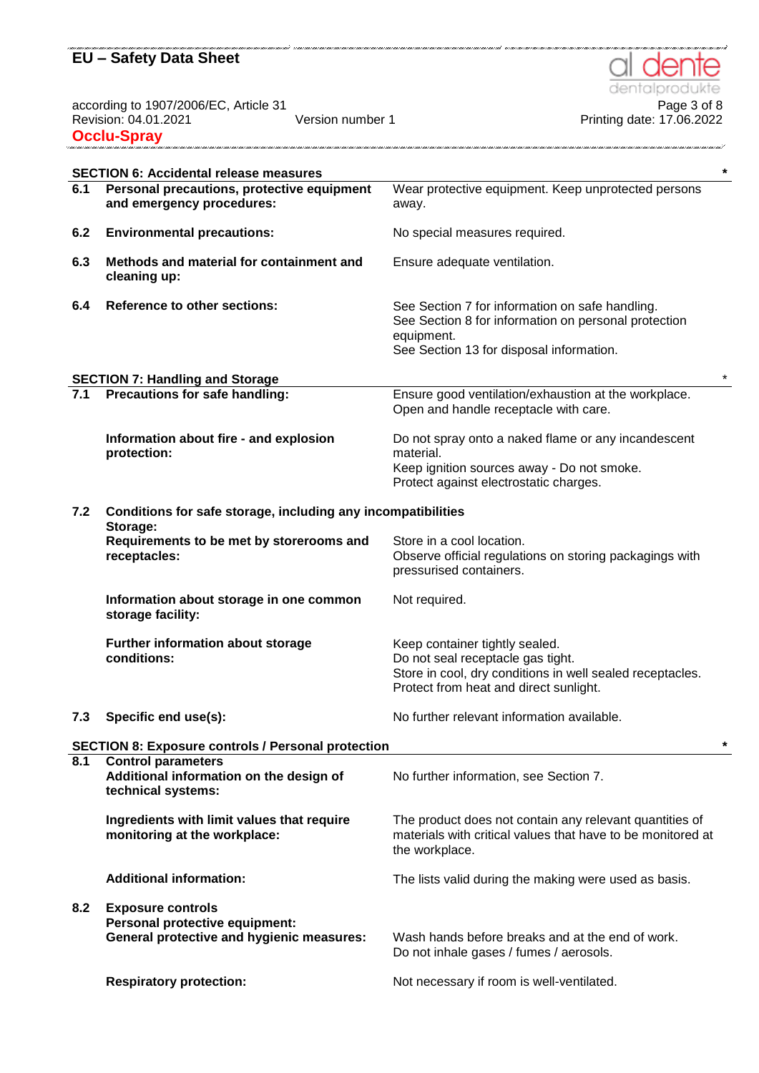dentalpro

.<br>אמנו בענים מנוע בענים מחום בענים בענים מנוע בענים המנוע בענים בענים בענים בענים בענים בענים בענים בענים בענים

te

according to 1907/2006/EC, Article 31 Page 3 of 8 Revision: 04.01.2021 Version number 1 Printing date: 17.06.2022 **Occlu-Spray**

|     | <b>SECTION 6: Accidental release measures</b>                                                                  | $\star$                                                                                                                                                                    |
|-----|----------------------------------------------------------------------------------------------------------------|----------------------------------------------------------------------------------------------------------------------------------------------------------------------------|
| 6.1 | Personal precautions, protective equipment<br>and emergency procedures:                                        | Wear protective equipment. Keep unprotected persons<br>away.                                                                                                               |
| 6.2 | <b>Environmental precautions:</b>                                                                              | No special measures required.                                                                                                                                              |
| 6.3 | Methods and material for containment and<br>cleaning up:                                                       | Ensure adequate ventilation.                                                                                                                                               |
| 6.4 | <b>Reference to other sections:</b>                                                                            | See Section 7 for information on safe handling.<br>See Section 8 for information on personal protection<br>equipment.<br>See Section 13 for disposal information.          |
|     | <b>SECTION 7: Handling and Storage</b>                                                                         |                                                                                                                                                                            |
| 7.1 | Precautions for safe handling:                                                                                 | Ensure good ventilation/exhaustion at the workplace.<br>Open and handle receptacle with care.                                                                              |
|     | Information about fire - and explosion<br>protection:                                                          | Do not spray onto a naked flame or any incandescent<br>material.<br>Keep ignition sources away - Do not smoke.<br>Protect against electrostatic charges.                   |
| 7.2 | Conditions for safe storage, including any incompatibilities                                                   |                                                                                                                                                                            |
|     | Storage:<br>Requirements to be met by storerooms and<br>receptacles:                                           | Store in a cool location.<br>Observe official regulations on storing packagings with<br>pressurised containers.                                                            |
|     | Information about storage in one common<br>storage facility:                                                   | Not required.                                                                                                                                                              |
|     | Further information about storage<br>conditions:                                                               | Keep container tightly sealed.<br>Do not seal receptacle gas tight.<br>Store in cool, dry conditions in well sealed receptacles.<br>Protect from heat and direct sunlight. |
| 7.3 | Specific end use(s):                                                                                           | No further relevant information available.                                                                                                                                 |
|     | <b>SECTION 8: Exposure controls / Personal protection</b>                                                      | $\star$                                                                                                                                                                    |
| 8.1 | <b>Control parameters</b><br>Additional information on the design of<br>technical systems:                     | No further information, see Section 7.                                                                                                                                     |
|     | Ingredients with limit values that require<br>monitoring at the workplace:                                     | The product does not contain any relevant quantities of<br>materials with critical values that have to be monitored at<br>the workplace.                                   |
|     | <b>Additional information:</b>                                                                                 | The lists valid during the making were used as basis.                                                                                                                      |
| 8.2 | <b>Exposure controls</b><br>Personal protective equipment:<br><b>General protective and hygienic measures:</b> | Wash hands before breaks and at the end of work.<br>Do not inhale gases / fumes / aerosols.                                                                                |
|     | <b>Respiratory protection:</b>                                                                                 | Not necessary if room is well-ventilated.                                                                                                                                  |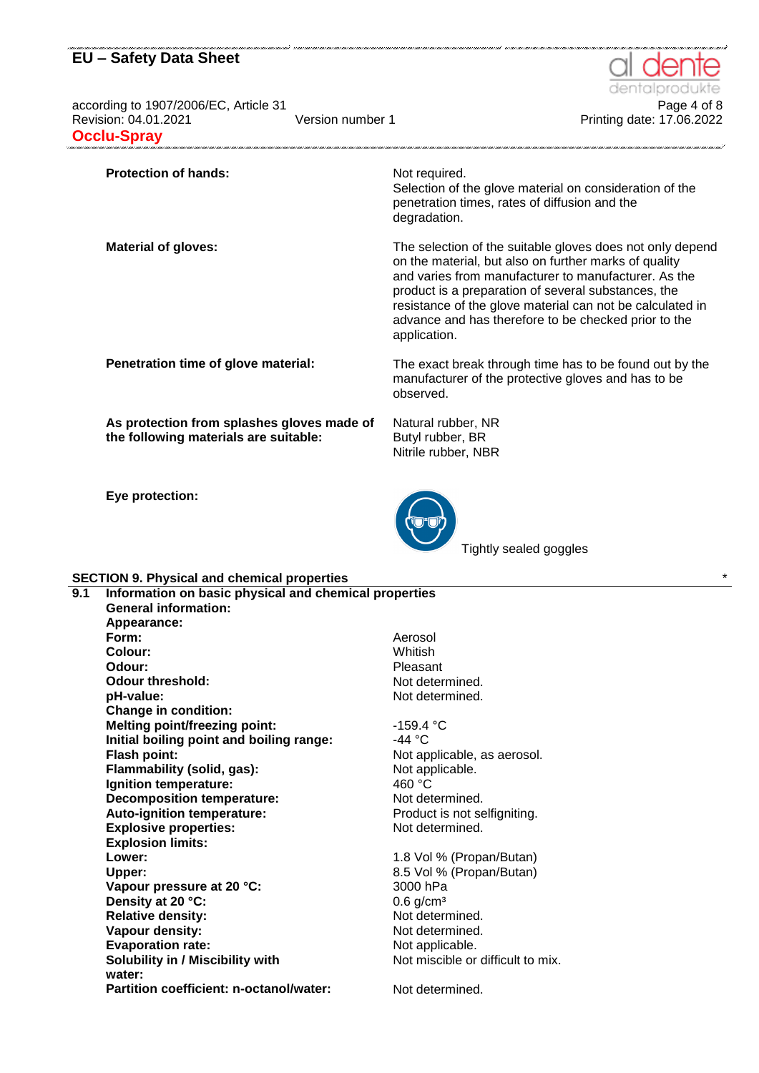according to 1907/2006/EC, Article 31<br>Printing date: 17.06.2022<br>Printing date: 17.06.2022 **Occlu-Spray**

dentalı

.<br>1110 | 1110 | 1110 | 1110 | 1110 | 1110 | 1110 | 1110 | 1111 | 1111

Printing date: 17.06.2022

| <b>Protection of hands:</b>                                                         | Not required.<br>Selection of the glove material on consideration of the<br>penetration times, rates of diffusion and the<br>degradation.                                                                                                                                                                                                                              |
|-------------------------------------------------------------------------------------|------------------------------------------------------------------------------------------------------------------------------------------------------------------------------------------------------------------------------------------------------------------------------------------------------------------------------------------------------------------------|
| <b>Material of gloves:</b>                                                          | The selection of the suitable gloves does not only depend<br>on the material, but also on further marks of quality<br>and varies from manufacturer to manufacturer. As the<br>product is a preparation of several substances, the<br>resistance of the glove material can not be calculated in<br>advance and has therefore to be checked prior to the<br>application. |
| Penetration time of glove material:                                                 | The exact break through time has to be found out by the<br>manufacturer of the protective gloves and has to be<br>observed.                                                                                                                                                                                                                                            |
| As protection from splashes gloves made of<br>the following materials are suitable: | Natural rubber, NR<br>Butyl rubber, BR<br>Nitrile rubber, NBR                                                                                                                                                                                                                                                                                                          |

**Eye protection:**



Tightly sealed goggles

#### **SECTION 9. Physical and chemical properties** \*

| 9.1 | Information on basic physical and chemical properties |            |  |
|-----|-------------------------------------------------------|------------|--|
|     | <b>General information:</b>                           |            |  |
|     | Appearance:                                           |            |  |
|     | Form:                                                 | Aerosol    |  |
|     | Colour:                                               | Whitish    |  |
|     | Odour:                                                | Pleasar    |  |
|     | Odour threshold:                                      | Not det    |  |
|     | pH-value:                                             | Not det    |  |
|     | <b>Change in condition:</b>                           |            |  |
|     | <b>Melting point/freezing point:</b>                  | $-159.4$   |  |
|     | Initial boiling point and boiling range:              | -44 °C     |  |
|     | <b>Flash point:</b>                                   | Not app    |  |
|     | Flammability (solid, gas):                            | Not app    |  |
|     | Ignition temperature:                                 | 460 °C     |  |
|     | <b>Decomposition temperature:</b>                     | Not det    |  |
|     | Auto-ignition temperature:                            | Product    |  |
|     | <b>Explosive properties:</b>                          | Not det    |  |
|     | <b>Explosion limits:</b>                              |            |  |
|     | Lower:                                                | $1.8$ Vol  |  |
|     | Upper:                                                | 8.5 Vol    |  |
|     | Vapour pressure at 20 °C:                             | 3000 hF    |  |
|     | Density at 20 °C:                                     | $0.6$ g/cr |  |
|     | <b>Relative density:</b>                              | Not det    |  |
|     | Vapour density:                                       | Not det    |  |
|     | <b>Evaporation rate:</b>                              | Not app    |  |
|     | <b>Solubility in / Miscibility with</b>               | Not mis    |  |
|     | water:                                                |            |  |
|     | Partition coefficient: n-octanol/water:               | Not det    |  |
|     |                                                       |            |  |

leasant **ot determined. pd** determined.

**Melting point/freezing point:** -159.4 °C ot applicable, as aerosol. lot applicable. lot determined. roduct is not selfigniting. **Iot determined.** 

**Lower:** 1.8 Vol % (Propan/Butan) **Upper:** 8.5 Vol % (Propan/Butan) 000 hPa **6 g/cm<sup>3</sup> Relative determined.** *<u>I</u>* ot determined. **b** examplicable. ot miscible or difficult to mix.

lot determined.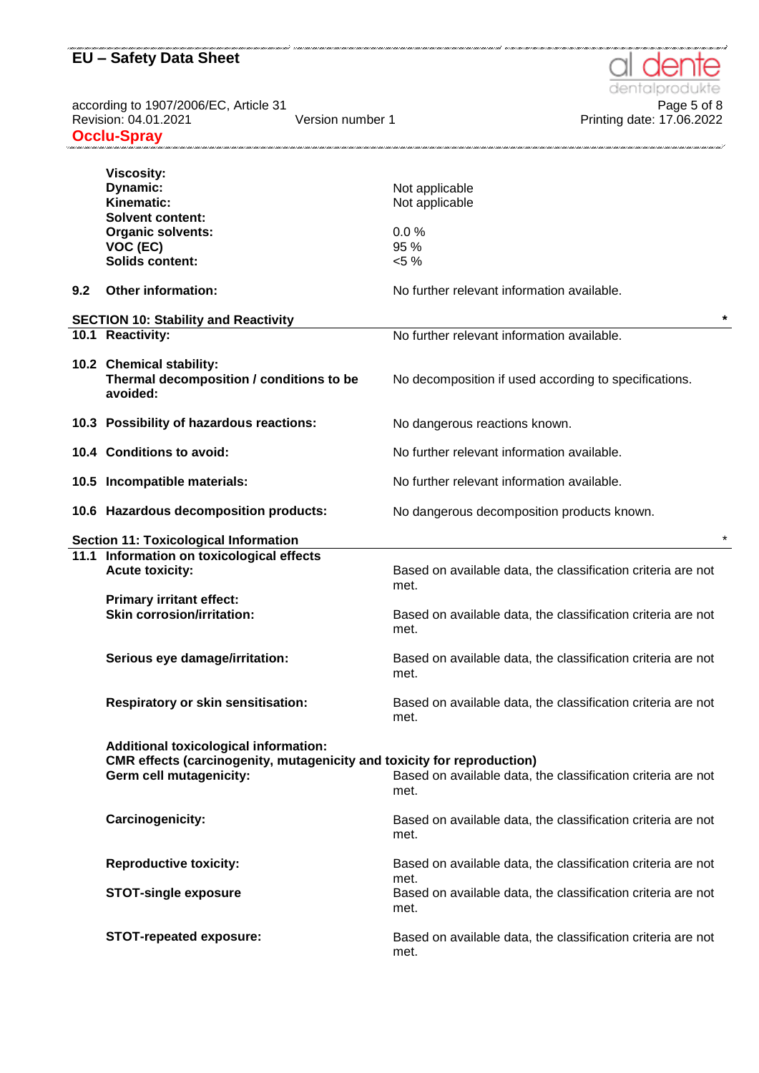according to 1907/2006/EC, Article 31<br>Page 5 of 8 Page 5 of 8 Page 5 of 8 Printing date: 17.06.2022 according to 1001.2021<br>Revision: 04.01.2021 **Occlu-Spray** aana ama'ana ahaana ahaana ahaana ahaana ahaana ahaana ahaana ahaana ahaana ahaana ahaana ahaana ahaana ahaana

|     | <b>Viscosity:</b><br>Dynamic:<br>Kinematic:<br><b>Solvent content:</b><br><b>Organic solvents:</b><br>VOC (EC)<br><b>Solids content:</b>                                                                                   | Not applicable<br>Not applicable<br>0.0%<br>95 %<br>$< 5 \%$                 |  |
|-----|----------------------------------------------------------------------------------------------------------------------------------------------------------------------------------------------------------------------------|------------------------------------------------------------------------------|--|
| 9.2 | Other information:                                                                                                                                                                                                         | No further relevant information available.                                   |  |
|     | <b>SECTION 10: Stability and Reactivity</b>                                                                                                                                                                                |                                                                              |  |
|     | 10.1 Reactivity:                                                                                                                                                                                                           | No further relevant information available.                                   |  |
|     | 10.2 Chemical stability:<br>Thermal decomposition / conditions to be<br>avoided:                                                                                                                                           | No decomposition if used according to specifications.                        |  |
|     | 10.3 Possibility of hazardous reactions:                                                                                                                                                                                   | No dangerous reactions known.                                                |  |
|     | 10.4 Conditions to avoid:                                                                                                                                                                                                  | No further relevant information available.                                   |  |
|     | 10.5 Incompatible materials:                                                                                                                                                                                               | No further relevant information available.                                   |  |
|     | 10.6 Hazardous decomposition products:                                                                                                                                                                                     | No dangerous decomposition products known.                                   |  |
|     | <b>Section 11: Toxicological Information</b>                                                                                                                                                                               |                                                                              |  |
|     | 11.1 Information on toxicological effects                                                                                                                                                                                  |                                                                              |  |
|     | <b>Acute toxicity:</b>                                                                                                                                                                                                     | Based on available data, the classification criteria are not<br>met.         |  |
|     | <b>Primary irritant effect:</b><br><b>Skin corrosion/irritation:</b>                                                                                                                                                       | Based on available data, the classification criteria are not<br>met.         |  |
|     | Serious eye damage/irritation:                                                                                                                                                                                             | Based on available data, the classification criteria are not<br>met.         |  |
|     | <b>Respiratory or skin sensitisation:</b>                                                                                                                                                                                  | Based on available data, the classification criteria are not<br>met.         |  |
|     | <b>Additional toxicological information:</b><br>CMR effects (carcinogenity, mutagenicity and toxicity for reproduction)<br>Germ cell mutagenicity:<br>Based on available data, the classification criteria are not<br>met. |                                                                              |  |
|     | Carcinogenicity:                                                                                                                                                                                                           | Based on available data, the classification criteria are not<br>met.         |  |
|     | <b>Reproductive toxicity:</b>                                                                                                                                                                                              | Based on available data, the classification criteria are not                 |  |
|     | <b>STOT-single exposure</b>                                                                                                                                                                                                | met.<br>Based on available data, the classification criteria are not<br>met. |  |
|     | <b>STOT-repeated exposure:</b>                                                                                                                                                                                             | Based on available data, the classification criteria are not<br>met.         |  |

.<br>The second contract and an emit and an emit and an emit and an emit and an emit and an emit and an emit and an emit and an emit and an emit an emit and an emit an

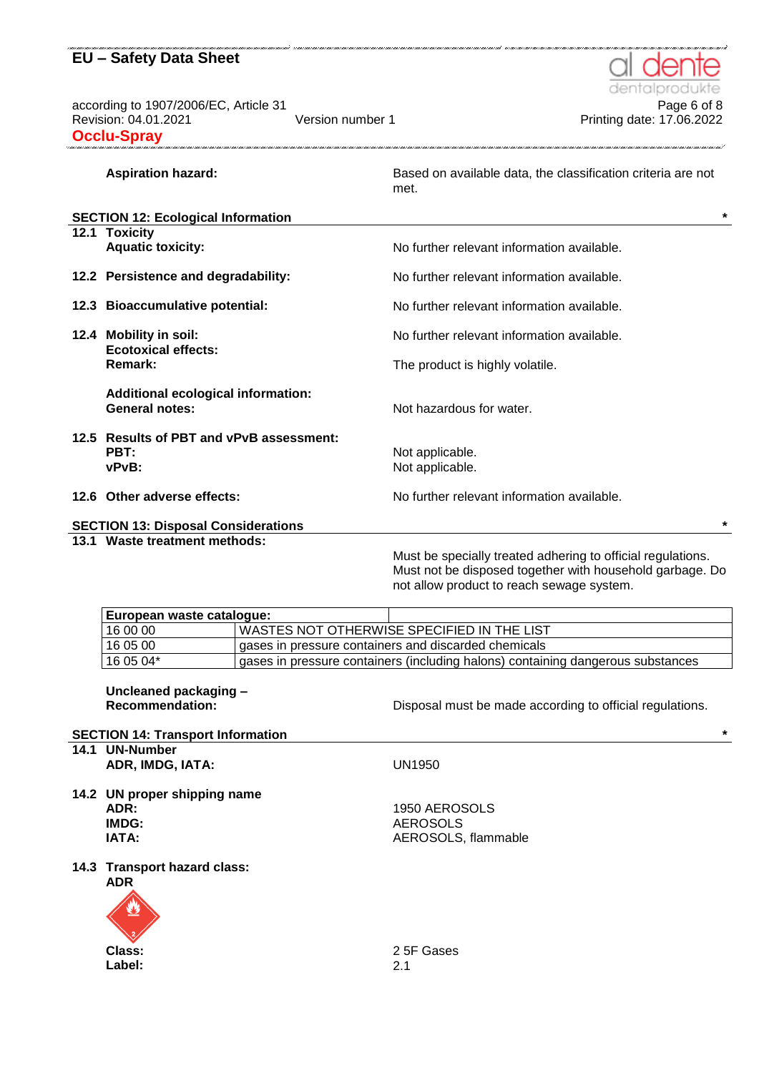according to 1907/2006/EC, Article 31 **Page 6 of 8** Page 6 of 8 Revision: 04.01.2021 Version number 1 Printing date: 17.06.2022 **Occlu-Spray**

dentalp

|  | <b>Aspiration hazard:</b>                                              |  | Based on available data, the classification criteria are not<br>met.                                                                                                 |
|--|------------------------------------------------------------------------|--|----------------------------------------------------------------------------------------------------------------------------------------------------------------------|
|  | <b>SECTION 12: Ecological Information</b>                              |  | $\star$                                                                                                                                                              |
|  | 12.1 Toxicity<br><b>Aquatic toxicity:</b>                              |  | No further relevant information available.                                                                                                                           |
|  | 12.2 Persistence and degradability:                                    |  | No further relevant information available.                                                                                                                           |
|  | 12.3 Bioaccumulative potential:                                        |  | No further relevant information available.                                                                                                                           |
|  | 12.4 Mobility in soil:<br><b>Ecotoxical effects:</b><br><b>Remark:</b> |  | No further relevant information available.                                                                                                                           |
|  |                                                                        |  | The product is highly volatile.                                                                                                                                      |
|  | <b>Additional ecological information:</b><br><b>General notes:</b>     |  | Not hazardous for water.                                                                                                                                             |
|  | 12.5 Results of PBT and vPvB assessment:<br>PBT:<br>vPvB:              |  | Not applicable.<br>Not applicable.                                                                                                                                   |
|  | 12.6 Other adverse effects:                                            |  | No further relevant information available.                                                                                                                           |
|  | <b>SECTION 13: Disposal Considerations</b>                             |  |                                                                                                                                                                      |
|  | 13.1 Waste treatment methods:                                          |  | Must be specially treated adhering to official regulations.<br>Must not be disposed together with household garbage. Do<br>not allow product to reach sewage system. |
|  | European waste catalogue:                                              |  |                                                                                                                                                                      |
|  | 16 00 00                                                               |  | WASTES NOT OTHERWISE SPECIFIED IN THE LIST                                                                                                                           |
|  | 16 05 00                                                               |  | gases in pressure containers and discarded chemicals                                                                                                                 |
|  | 16 05 04*                                                              |  | gases in pressure containers (including halons) containing dangerous substances                                                                                      |
|  | Uncleaned packaging -<br><b>Recommendation:</b>                        |  | Disposal must be made according to official regulations.                                                                                                             |
|  | <b>SECTION 14: Transport Information</b>                               |  | $\star$                                                                                                                                                              |
|  | 14.1 UN-Number<br>ADR, IMDG, IATA:                                     |  | <b>UN1950</b>                                                                                                                                                        |
|  | 14.2 UN proper shipping name<br>ADR:<br>IMDG:<br>IATA:                 |  | 1950 AEROSOLS<br><b>AEROSOLS</b><br>AEROSOLS, flammable                                                                                                              |

**14.3 Transport hazard class:**

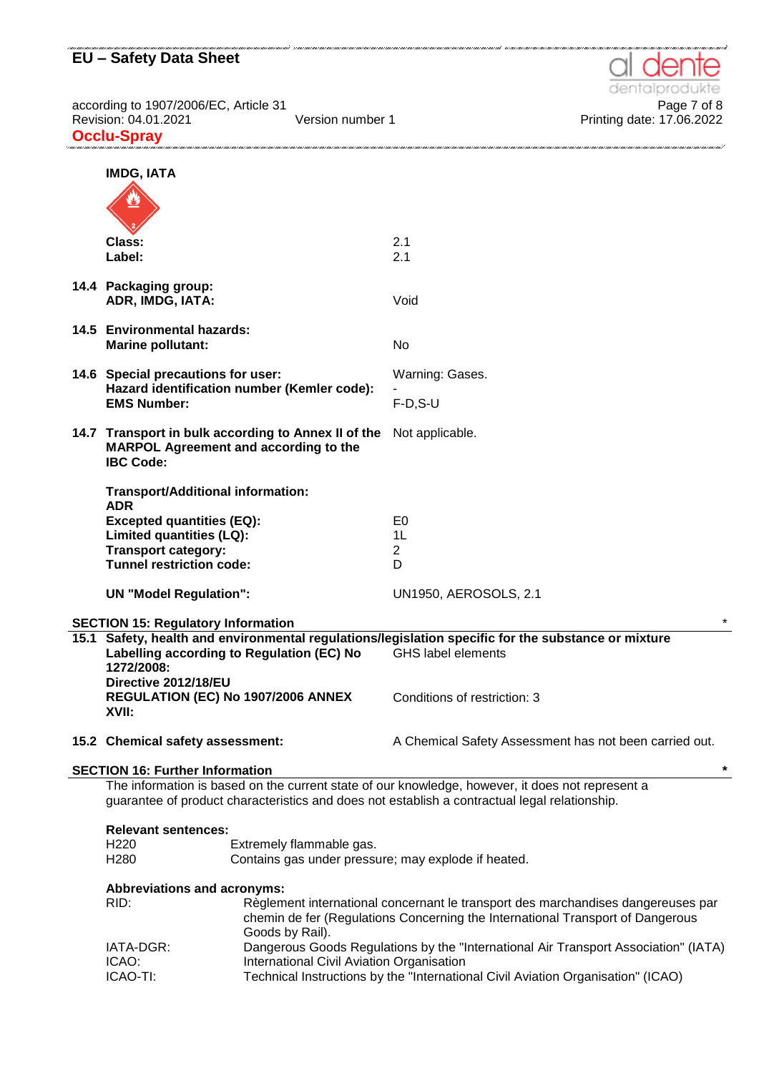according to 1907/2006/EC, Article 31 Page 7 of 8 Revision: 04.01.2021 Version number 1 Printing date: 17.06.2022 **Occlu-Spray** .<br>The comparison of the comparison of the comparison of the comparison of the comparison of the comparison of th



| <b>IMDG, IATA</b>                                                                                                                                                                                                                                      |  |                                                                                                                                  |  |
|--------------------------------------------------------------------------------------------------------------------------------------------------------------------------------------------------------------------------------------------------------|--|----------------------------------------------------------------------------------------------------------------------------------|--|
|                                                                                                                                                                                                                                                        |  |                                                                                                                                  |  |
| Class:<br>Label:                                                                                                                                                                                                                                       |  | 2.1<br>2.1                                                                                                                       |  |
| 14.4 Packaging group:<br>ADR, IMDG, IATA:                                                                                                                                                                                                              |  | Void                                                                                                                             |  |
| 14.5 Environmental hazards:<br><b>Marine pollutant:</b>                                                                                                                                                                                                |  | No                                                                                                                               |  |
| 14.6 Special precautions for user:<br>Hazard identification number (Kemler code):<br><b>EMS Number:</b>                                                                                                                                                |  | Warning: Gases.<br>$F-D, S-U$                                                                                                    |  |
| 14.7 Transport in bulk according to Annex II of the<br><b>MARPOL Agreement and according to the</b><br><b>IBC Code:</b>                                                                                                                                |  | Not applicable.                                                                                                                  |  |
| Transport/Additional information:<br><b>ADR</b>                                                                                                                                                                                                        |  |                                                                                                                                  |  |
| <b>Excepted quantities (EQ):</b><br>Limited quantities (LQ):<br><b>Transport category:</b>                                                                                                                                                             |  | E <sub>0</sub><br>1L<br>$\overline{2}$                                                                                           |  |
| <b>Tunnel restriction code:</b><br><b>UN "Model Regulation":</b>                                                                                                                                                                                       |  | D<br><b>UN1950, AEROSOLS, 2.1</b>                                                                                                |  |
| <b>SECTION 15: Regulatory Information</b>                                                                                                                                                                                                              |  |                                                                                                                                  |  |
| Labelling according to Regulation (EC) No<br>1272/2008:                                                                                                                                                                                                |  | 15.1 Safety, health and environmental regulations/legislation specific for the substance or mixture<br><b>GHS label elements</b> |  |
| Directive 2012/18/EU<br>REGULATION (EC) No 1907/2006 ANNEX<br>XVII:                                                                                                                                                                                    |  | Conditions of restriction: 3                                                                                                     |  |
| 15.2 Chemical safety assessment:                                                                                                                                                                                                                       |  | A Chemical Safety Assessment has not been carried out.                                                                           |  |
| $\star$<br><b>SECTION 16: Further Information</b>                                                                                                                                                                                                      |  |                                                                                                                                  |  |
| The information is based on the current state of our knowledge, however, it does not represent a<br>guarantee of product characteristics and does not establish a contractual legal relationship.                                                      |  |                                                                                                                                  |  |
| <b>Relevant sentences:</b><br>H <sub>220</sub><br>Extremely flammable gas.<br>H <sub>280</sub><br>Contains gas under pressure; may explode if heated.                                                                                                  |  |                                                                                                                                  |  |
| <b>Abbreviations and acronyms:</b><br>RID:<br>Règlement international concernant le transport des marchandises dangereuses par<br>chemin de fer (Regulations Concerning the International Transport of Dangerous<br>Goods by Rail).                    |  |                                                                                                                                  |  |
| Dangerous Goods Regulations by the "International Air Transport Association" (IATA)<br>IATA-DGR:<br>International Civil Aviation Organisation<br>ICAO:<br>ICAO-TI:<br>Technical Instructions by the "International Civil Aviation Organisation" (ICAO) |  |                                                                                                                                  |  |